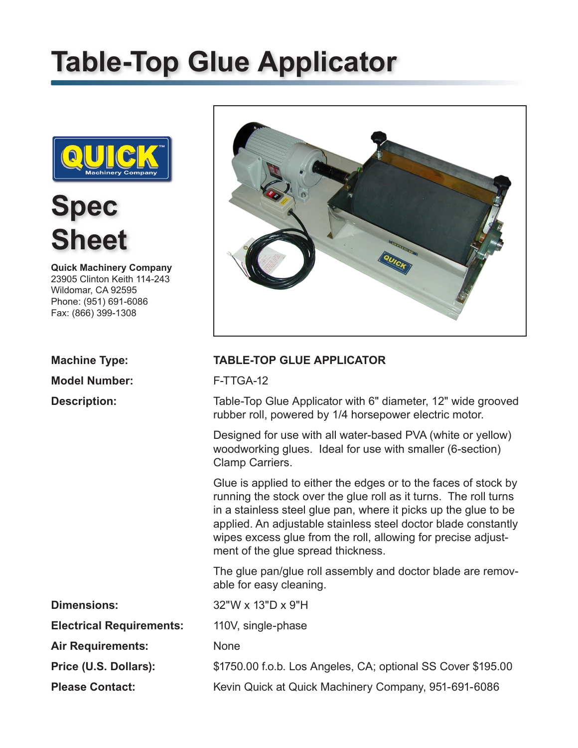# **Table-Top Glue Applicator**



**Spec Sheet**

**Quick Machinery Company** 23905 Clinton Keith 114-243 Wildomar, CA 92595 Phone: (951) 691-6086 Fax: (866) 399-1308

**Model Number:** F-TTGA-12



### **Machine Type: TABLE-TOP GLUE APPLICATOR**

**Description:** Table-Top Glue Applicator with 6" diameter, 12" wide grooved rubber roll, powered by 1/4 horsepower electric motor.

> Designed for use with all water-based PVA (white or yellow) woodworking glues. Ideal for use with smaller (6-section) Clamp Carriers.

Glue is applied to either the edges or to the faces of stock by running the stock over the glue roll as it turns. The roll turns in a stainless steel glue pan, where it picks up the glue to be applied. An adjustable stainless steel doctor blade constantly wipes excess glue from the roll, allowing for precise adjustment of the glue spread thickness.

The glue pan/glue roll assembly and doctor blade are removable for easy cleaning.

| <b>Dimensions:</b>              | $32"W \times 13"D \times 9"H$                                |
|---------------------------------|--------------------------------------------------------------|
| <b>Electrical Requirements:</b> | 110V, single-phase                                           |
| <b>Air Requirements:</b>        | <b>None</b>                                                  |
| Price (U.S. Dollars):           | \$1750.00 f.o.b. Los Angeles, CA; optional SS Cover \$195.00 |
| <b>Please Contact:</b>          | Kevin Quick at Quick Machinery Company, 951-691-6086         |